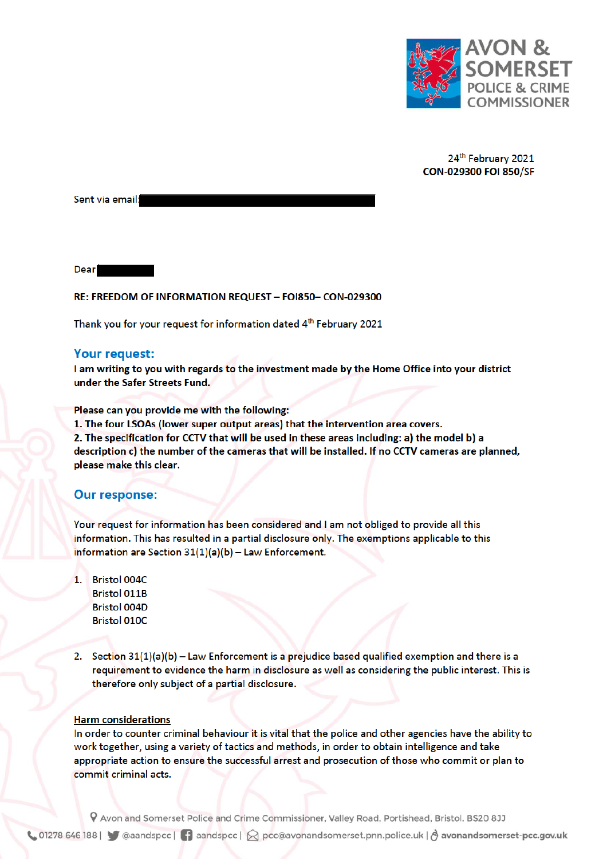

24th February 2021 CON-029300 FOI 850/SF

Sent via email:

**Dear** 

### RE: FREEDOM OF INFORMATION REQUEST - FOI850- CON-029300

Thank you for your request for information dated 4<sup>th</sup> February 2021

### **Your request:**

I am writing to you with regards to the investment made by the Home Office into your district under the Safer Streets Fund.

Please can you provide me with the following:

1. The four LSOAs (lower super output areas) that the intervention area covers.

2. The specification for CCTV that will be used in these areas including: a) the model b) a description c) the number of the cameras that will be installed. If no CCTV cameras are planned, please make this clear.

#### **Our response:**

Your request for information has been considered and I am not obliged to provide all this information. This has resulted in a partial disclosure only. The exemptions applicable to this information are Section  $31(1)(a)(b)$  - Law Enforcement.

- 1. Bristol 004C **Bristol 011B Bristol 004D Bristol 010C**
- 2. Section  $31(1)(a)(b)$  Law Enforcement is a prejudice based qualified exemption and there is a requirement to evidence the harm in disclosure as well as considering the public interest. This is therefore only subject of a partial disclosure.

# **Harm considerations**

In order to counter criminal behaviour it is vital that the police and other agencies have the ability to work together, using a variety of tactics and methods, in order to obtain intelligence and take appropriate action to ensure the successful arrest and prosecution of those who commit or plan to commit criminal acts.

P Avon and Somerset Police and Crime Commissioner, Valley Road, Portishead, Bristol. BS20 8JJ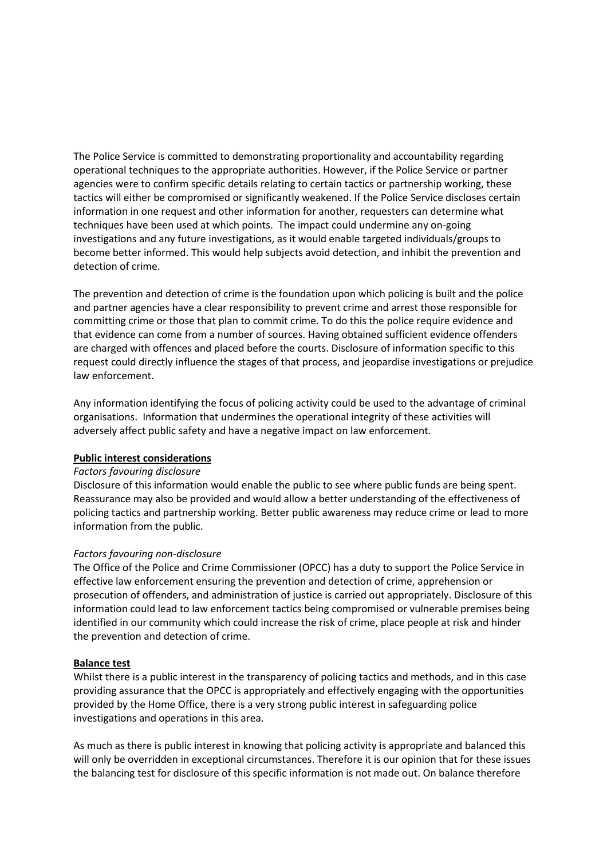The Police Service is committed to demonstrating proportionality and accountability regarding operational techniques to the appropriate authorities. However, if the Police Service or partner agencies were to confirm specific details relating to certain tactics or partnership working, these tactics will either be compromised or significantly weakened. If the Police Service discloses certain information in one request and other information for another, requesters can determine what techniques have been used at which points. The impact could undermine any on-going investigations and any future investigations, as it would enable targeted individuals/groups to become better informed. This would help subjects avoid detection, and inhibit the prevention and detection of crime.

The prevention and detection of crime is the foundation upon which policing is built and the police and partner agencies have a clear responsibility to prevent crime and arrest those responsible for committing crime or those that plan to commit crime. To do this the police require evidence and that evidence can come from a number of sources. Having obtained sufficient evidence offenders are charged with offences and placed before the courts. Disclosure of information specific to this request could directly influence the stages of that process, and jeopardise investigations or prejudice law enforcement.

Any information identifying the focus of policing activity could be used to the advantage of criminal organisations. Information that undermines the operational integrity of these activities will adversely affect public safety and have a negative impact on law enforcement.

## **Public interest considerations**

#### *Factors favouring disclosure*

Disclosure of this information would enable the public to see where public funds are being spent. Reassurance may also be provided and would allow a better understanding of the effectiveness of policing tactics and partnership working. Better public awareness may reduce crime or lead to more information from the public.

## *Factors favouring non-disclosure*

The Office of the Police and Crime Commissioner (OPCC) has a duty to support the Police Service in effective law enforcement ensuring the prevention and detection of crime, apprehension or prosecution of offenders, and administration of justice is carried out appropriately. Disclosure of this information could lead to law enforcement tactics being compromised or vulnerable premises being identified in our community which could increase the risk of crime, place people at risk and hinder the prevention and detection of crime.

#### **Balance test**

Whilst there is a public interest in the transparency of policing tactics and methods, and in this case providing assurance that the OPCC is appropriately and effectively engaging with the opportunities provided by the Home Office, there is a very strong public interest in safeguarding police investigations and operations in this area.

As much as there is public interest in knowing that policing activity is appropriate and balanced this will only be overridden in exceptional circumstances. Therefore it is our opinion that for these issues the balancing test for disclosure of this specific information is not made out. On balance therefore